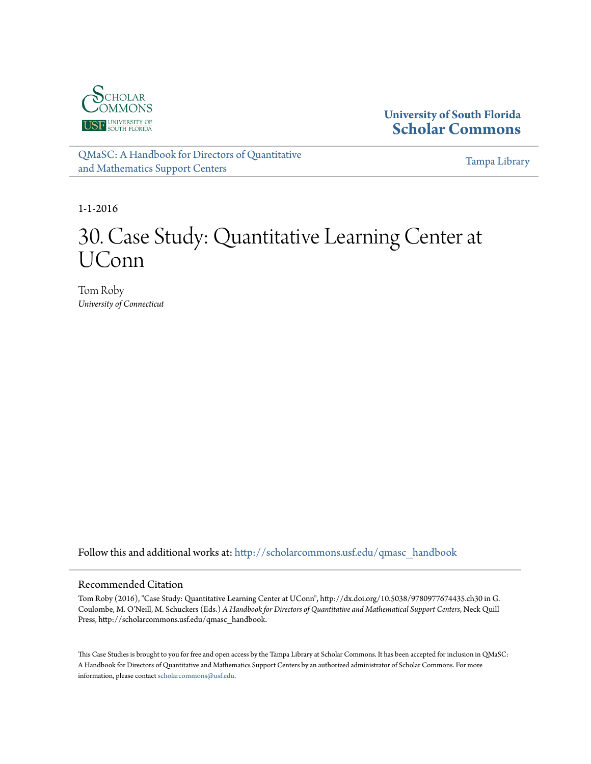

**University of South Florida [Scholar Commons](http://scholarcommons.usf.edu?utm_source=scholarcommons.usf.edu%2Fqmasc_handbook%2F30&utm_medium=PDF&utm_campaign=PDFCoverPages)**

[QMaSC: A Handbook for Directors of Quantitative](http://scholarcommons.usf.edu/qmasc_handbook?utm_source=scholarcommons.usf.edu%2Fqmasc_handbook%2F30&utm_medium=PDF&utm_campaign=PDFCoverPages) [and Mathematics Support Centers](http://scholarcommons.usf.edu/qmasc_handbook?utm_source=scholarcommons.usf.edu%2Fqmasc_handbook%2F30&utm_medium=PDF&utm_campaign=PDFCoverPages)

[Tampa Library](http://scholarcommons.usf.edu/tlib?utm_source=scholarcommons.usf.edu%2Fqmasc_handbook%2F30&utm_medium=PDF&utm_campaign=PDFCoverPages)

1-1-2016

# 30. Case Study: Quantitative Learning Center at UConn

Tom Roby *University of Connecticut*

Follow this and additional works at: [http://scholarcommons.usf.edu/qmasc\\_handbook](http://scholarcommons.usf.edu/qmasc_handbook?utm_source=scholarcommons.usf.edu%2Fqmasc_handbook%2F30&utm_medium=PDF&utm_campaign=PDFCoverPages)

#### Recommended Citation

Tom Roby (2016), "Case Study: Quantitative Learning Center at UConn", http://dx.doi.org/10.5038/9780977674435.ch30 in G. Coulombe, M. O'Neill, M. Schuckers (Eds.) *A Handbook for Directors of Quantitative and Mathematical Support Centers*, Neck Quill Press, http://scholarcommons.usf.edu/qmasc\_handbook.

This Case Studies is brought to you for free and open access by the Tampa Library at Scholar Commons. It has been accepted for inclusion in QMaSC: A Handbook for Directors of Quantitative and Mathematics Support Centers by an authorized administrator of Scholar Commons. For more information, please contact [scholarcommons@usf.edu.](mailto:scholarcommons@usf.edu)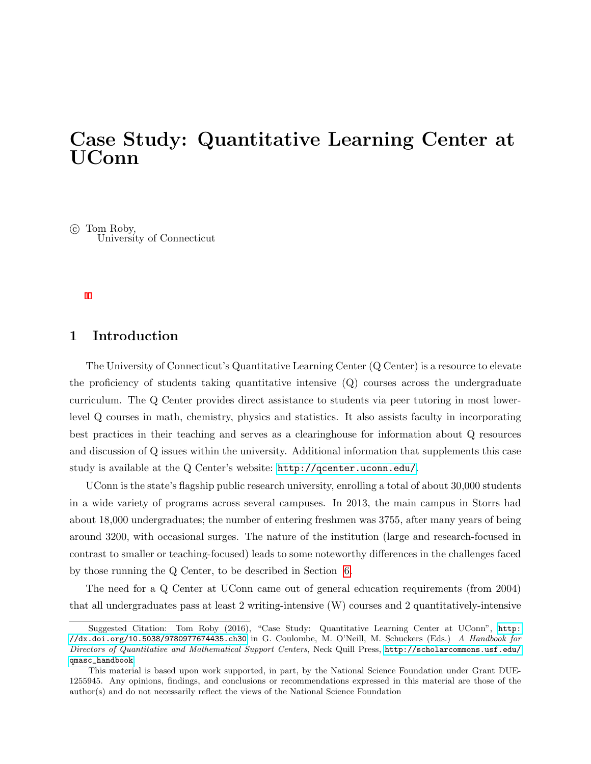# Case Study: Quantitative Learning Center at UConn

 $\odot$  Tom Roby, University of Connecticut

# 1 Introduction

The University of Connecticut's Quantitative Learning Center (Q Center) is a resource to elevate the proficiency of students taking quantitative intensive  $(Q)$  courses across the undergraduate curriculum. The Q Center provides direct assistance to students via peer tutoring in most lowerlevel Q courses in math, chemistry, physics and statistics. It also assists faculty in incorporating best practices in their teaching and serves as a clearinghouse for information about Q resources and discussion of Q issues within the university. Additional information that supplements this case study is available at the Q Center's website:  $http://qcenter.uconn.edu/$ .

UConn is the state's flagship public research university, enrolling a total of about 30,000 students in a wide variety of programs across several campuses. In 2013, the main campus in Storrs had about 18,000 undergraduates; the number of entering freshmen was 3755, after many years of being around 3200, with occasional surges. The nature of the institution (large and research-focused in contrast to smaller or teaching-focused) leads to some noteworthy differences in the challenges faced by those running the Q Center, to be described in Section 6.

The need for a Q Center at UConn came out of general education requirements (from 2004) that all undergraduates pass at least 2 writing-intensive (W) courses and 2 quantitatively-intensive

Suggested Citation: Tom Roby (2016), "Case Study: Quantitative Learning Center at UConn", [http:](http://dx.doi.org/10.5038/9780977674435.ch30) [//dx.doi.org/10.5038/9780977674435.ch30](http://dx.doi.org/10.5038/9780977674435.ch30) in G. Coulombe, M. O'Neill, M. Schuckers (Eds.) A Handbook for Directors of Quantitative and Mathematical Support Centers, Neck Quill Press, [http://scholarcommons.usf.edu/](http://scholarcommons.usf.edu/qmasc_handbook) [qmasc\\_handbook](http://scholarcommons.usf.edu/qmasc_handbook).

This material is based upon work supported, in part, by the National Science Foundation under Grant DUE-1255945. Any opinions, findings, and conclusions or recommendations expressed in this material are those of the author(s) and do not necessarily reflect the views of the National Science Foundation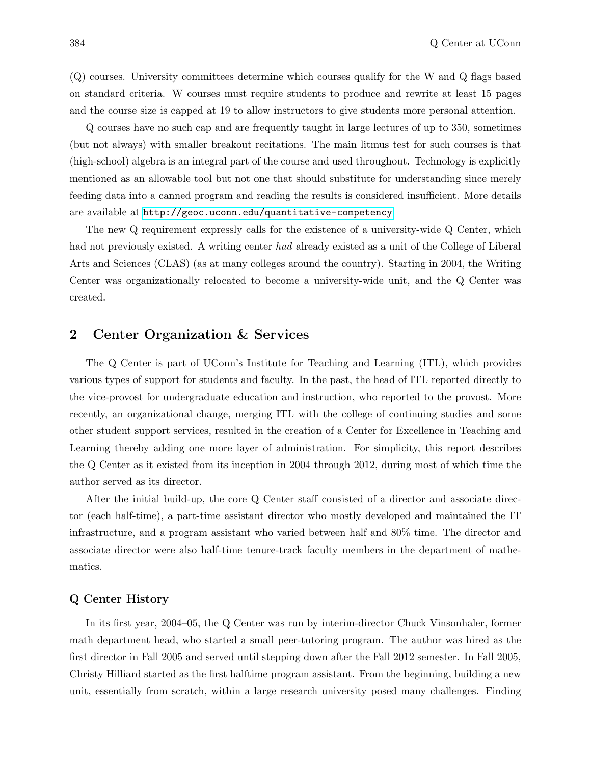(Q) courses. University committees determine which courses qualify for the W and Q flags based on standard criteria. W courses must require students to produce and rewrite at least 15 pages and the course size is capped at 19 to allow instructors to give students more personal attention.

Q courses have no such cap and are frequently taught in large lectures of up to 350, sometimes (but not always) with smaller breakout recitations. The main litmus test for such courses is that (high-school) algebra is an integral part of the course and used throughout. Technology is explicitly mentioned as an allowable tool but not one that should substitute for understanding since merely feeding data into a canned program and reading the results is considered insufficient. More details are available at <http://geoc.uconn.edu/quantitative-competency>.

The new Q requirement expressly calls for the existence of a university-wide Q Center, which had not previously existed. A writing center had already existed as a unit of the College of Liberal Arts and Sciences (CLAS) (as at many colleges around the country). Starting in 2004, the Writing Center was organizationally relocated to become a university-wide unit, and the Q Center was created.

# 2 Center Organization & Services

The Q Center is part of UConn's Institute for Teaching and Learning (ITL), which provides various types of support for students and faculty. In the past, the head of ITL reported directly to the vice-provost for undergraduate education and instruction, who reported to the provost. More recently, an organizational change, merging ITL with the college of continuing studies and some other student support services, resulted in the creation of a Center for Excellence in Teaching and Learning thereby adding one more layer of administration. For simplicity, this report describes the Q Center as it existed from its inception in 2004 through 2012, during most of which time the author served as its director.

After the initial build-up, the core Q Center staff consisted of a director and associate director (each half-time), a part-time assistant director who mostly developed and maintained the IT infrastructure, and a program assistant who varied between half and 80% time. The director and associate director were also half-time tenure-track faculty members in the department of mathematics.

#### Q Center History

In its first year, 2004–05, the Q Center was run by interim-director Chuck Vinsonhaler, former math department head, who started a small peer-tutoring program. The author was hired as the first director in Fall 2005 and served until stepping down after the Fall 2012 semester. In Fall 2005, Christy Hilliard started as the first halftime program assistant. From the beginning, building a new unit, essentially from scratch, within a large research university posed many challenges. Finding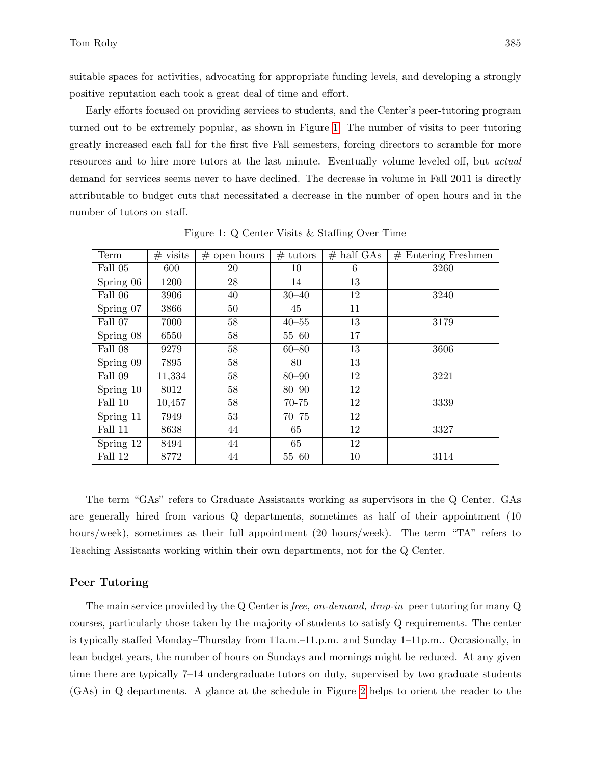suitable spaces for activities, advocating for appropriate funding levels, and developing a strongly positive reputation each took a great deal of time and effort.

Early efforts focused on providing services to students, and the Center's peer-tutoring program turned out to be extremely popular, as shown in Figure 1. The number of visits to peer tutoring greatly increased each fall for the first five Fall semesters, forcing directors to scramble for more resources and to hire more tutors at the last minute. Eventually volume leveled off, but actual demand for services seems never to have declined. The decrease in volume in Fall 2011 is directly attributable to budget cuts that necessitated a decrease in the number of open hours and in the number of tutors on staff.

| Term      | $#$ visits | $#$ open hours | $# \text{ tutors}$ | $#$ half GAs | $#$ Entering Freshmen |
|-----------|------------|----------------|--------------------|--------------|-----------------------|
| Fall 05   | 600        | 20             | 10                 | 6            | 3260                  |
| Spring 06 | 1200       | 28             | 14                 | 13           |                       |
| Fall 06   | 3906       | 40             | $30 - 40$          | 12           | 3240                  |
| Spring 07 | 3866       | 50             | 45                 | 11           |                       |
| Fall 07   | 7000       | 58             | $40 - 55$          | 13           | 3179                  |
| Spring 08 | 6550       | 58             | $55 - 60$          | 17           |                       |
| Fall 08   | 9279       | 58             | $60 - 80$          | 13           | 3606                  |
| Spring 09 | 7895       | 58             | 80                 | 13           |                       |
| Fall 09   | 11,334     | 58             | $80 - 90$          | 12           | 3221                  |
| Spring 10 | 8012       | 58             | $80 - 90$          | 12           |                       |
| Fall 10   | 10,457     | 58             | 70-75              | 12           | 3339                  |
| Spring 11 | 7949       | 53             | $70 - 75$          | 12           |                       |
| Fall 11   | 8638       | 44             | 65                 | 12           | 3327                  |
| Spring 12 | 8494       | 44             | 65                 | 12           |                       |
| Fall 12   | 8772       | 44             | $55 - 60$          | 10           | 3114                  |

Figure 1: Q Center Visits & Staffing Over Time

The term "GAs" refers to Graduate Assistants working as supervisors in the Q Center. GAs are generally hired from various Q departments, sometimes as half of their appointment (10 hours/week), sometimes as their full appointment (20 hours/week). The term "TA" refers to Teaching Assistants working within their own departments, not for the Q Center.

#### Peer Tutoring

The main service provided by the Q Center is *free, on-demand, drop-in* peer tutoring for many Q courses, particularly those taken by the majority of students to satisfy Q requirements. The center is typically staffed Monday–Thursday from 11a.m.–11.p.m. and Sunday 1–11p.m.. Occasionally, in lean budget years, the number of hours on Sundays and mornings might be reduced. At any given time there are typically 7–14 undergraduate tutors on duty, supervised by two graduate students (GAs) in Q departments. A glance at the schedule in Figure 2 helps to orient the reader to the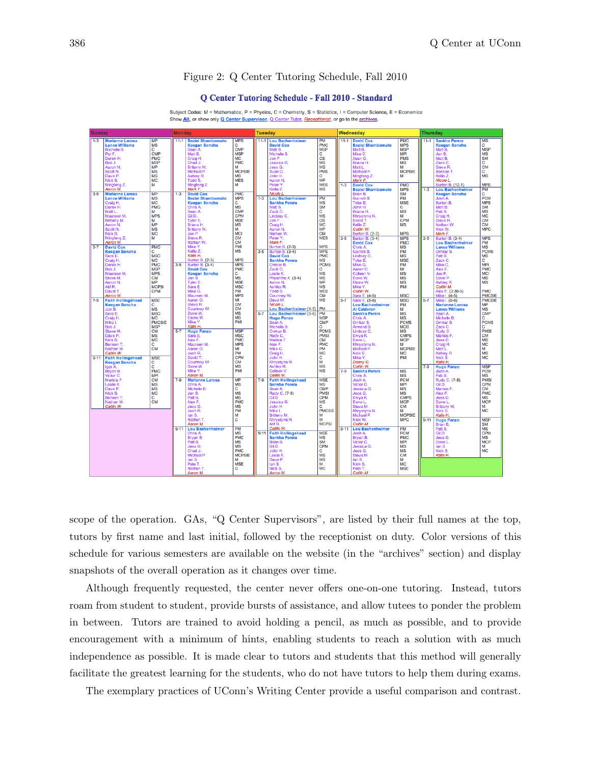#### Figure 2: Q Center Tutoring Schedule, Fall 2010

#### **O Center Tutoring Schedule - Fall 2010 - Standard**

Subject Codes: M = Mathematics, P = Physics, C = Chemistry, S = Statistics, I = Computer Science, E = Economics Show All, or show only Q Center Supervisor, Q Center Tutor, Receptionist, or go to the archives.



scope of the operation. GAs, "Q Center Supervisors", are listed by their full names at the top, tutors by first name and last initial, followed by the receptionist on duty. Color versions of this schedule for various semesters are available on the website (in the "archives" section) and display snapshots of the overall operation as it changes over time.

Although frequently requested, the center never offers one-on-one tutoring. Instead, tutors roam from student to student, provide bursts of assistance, and allow tutees to ponder the problem in between. Tutors are trained to avoid holding a pencil, as much as possible, and to provide encouragement with a minimum of hints, enabling students to reach a solution with as much independence as possible. It is made clear to tutors and students that this method will generally facilitate the greatest learning for the students, who do not have tutors to help them during exams.

The exemplary practices of UConn's Writing Center provide a useful comparison and contrast.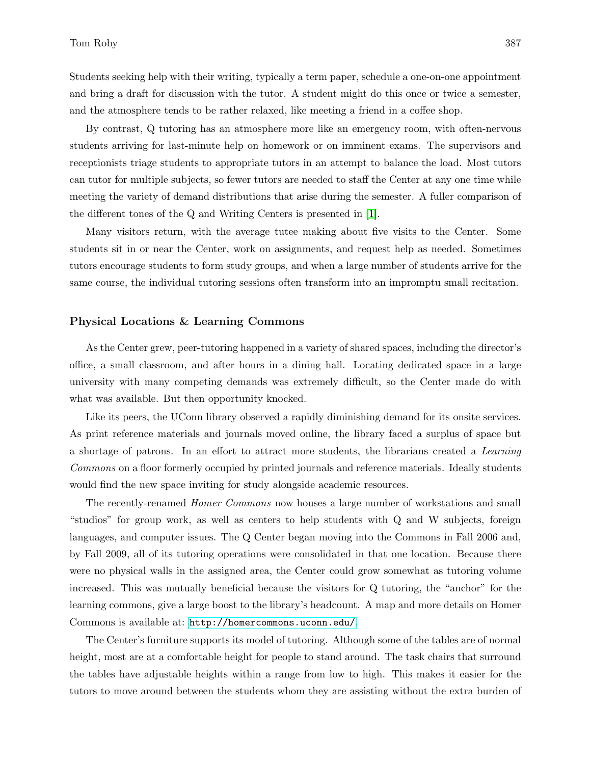Students seeking help with their writing, typically a term paper, schedule a one-on-one appointment and bring a draft for discussion with the tutor. A student might do this once or twice a semester, and the atmosphere tends to be rather relaxed, like meeting a friend in a coffee shop.

By contrast, Q tutoring has an atmosphere more like an emergency room, with often-nervous students arriving for last-minute help on homework or on imminent exams. The supervisors and receptionists triage students to appropriate tutors in an attempt to balance the load. Most tutors can tutor for multiple subjects, so fewer tutors are needed to staff the Center at any one time while meeting the variety of demand distributions that arise during the semester. A fuller comparison of the different tones of the Q and Writing Centers is presented in [1].

Many visitors return, with the average tutee making about five visits to the Center. Some students sit in or near the Center, work on assignments, and request help as needed. Sometimes tutors encourage students to form study groups, and when a large number of students arrive for the same course, the individual tutoring sessions often transform into an impromptu small recitation.

#### Physical Locations & Learning Commons

As the Center grew, peer-tutoring happened in a variety of shared spaces, including the director's office, a small classroom, and after hours in a dining hall. Locating dedicated space in a large university with many competing demands was extremely difficult, so the Center made do with what was available. But then opportunity knocked.

Like its peers, the UConn library observed a rapidly diminishing demand for its onsite services. As print reference materials and journals moved online, the library faced a surplus of space but a shortage of patrons. In an effort to attract more students, the librarians created a Learning Commons on a floor formerly occupied by printed journals and reference materials. Ideally students would find the new space inviting for study alongside academic resources.

The recently-renamed Homer Commons now houses a large number of workstations and small "studios" for group work, as well as centers to help students with Q and W subjects, foreign languages, and computer issues. The Q Center began moving into the Commons in Fall 2006 and, by Fall 2009, all of its tutoring operations were consolidated in that one location. Because there were no physical walls in the assigned area, the Center could grow somewhat as tutoring volume increased. This was mutually beneficial because the visitors for Q tutoring, the "anchor" for the learning commons, give a large boost to the library's headcount. A map and more details on Homer Commons is available at: <http://homercommons.uconn.edu/>.

The Center's furniture supports its model of tutoring. Although some of the tables are of normal height, most are at a comfortable height for people to stand around. The task chairs that surround the tables have adjustable heights within a range from low to high. This makes it easier for the tutors to move around between the students whom they are assisting without the extra burden of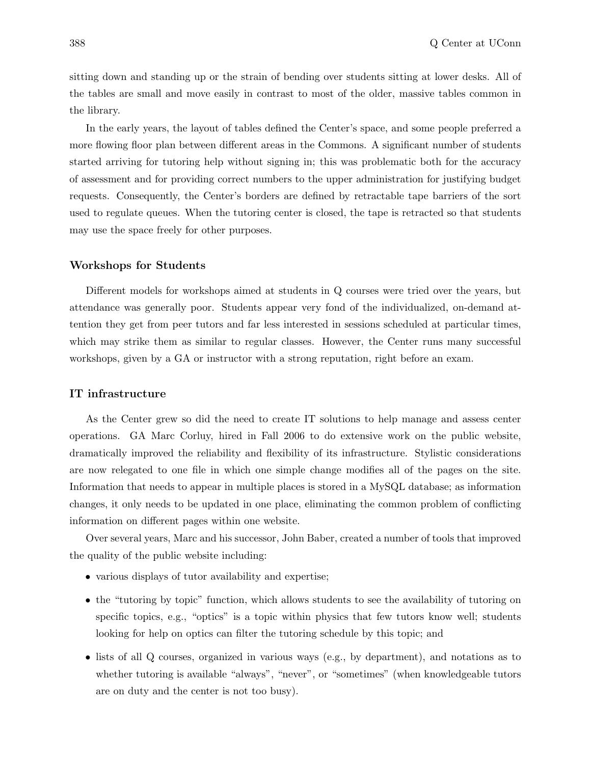sitting down and standing up or the strain of bending over students sitting at lower desks. All of the tables are small and move easily in contrast to most of the older, massive tables common in the library.

In the early years, the layout of tables defined the Center's space, and some people preferred a more flowing floor plan between different areas in the Commons. A significant number of students started arriving for tutoring help without signing in; this was problematic both for the accuracy of assessment and for providing correct numbers to the upper administration for justifying budget requests. Consequently, the Center's borders are defined by retractable tape barriers of the sort used to regulate queues. When the tutoring center is closed, the tape is retracted so that students may use the space freely for other purposes.

#### Workshops for Students

Different models for workshops aimed at students in Q courses were tried over the years, but attendance was generally poor. Students appear very fond of the individualized, on-demand attention they get from peer tutors and far less interested in sessions scheduled at particular times, which may strike them as similar to regular classes. However, the Center runs many successful workshops, given by a GA or instructor with a strong reputation, right before an exam.

#### IT infrastructure

As the Center grew so did the need to create IT solutions to help manage and assess center operations. GA Marc Corluy, hired in Fall 2006 to do extensive work on the public website, dramatically improved the reliability and flexibility of its infrastructure. Stylistic considerations are now relegated to one file in which one simple change modifies all of the pages on the site. Information that needs to appear in multiple places is stored in a MySQL database; as information changes, it only needs to be updated in one place, eliminating the common problem of conflicting information on different pages within one website.

Over several years, Marc and his successor, John Baber, created a number of tools that improved the quality of the public website including:

- various displays of tutor availability and expertise;
- the "tutoring by topic" function, which allows students to see the availability of tutoring on specific topics, e.g., "optics" is a topic within physics that few tutors know well; students looking for help on optics can filter the tutoring schedule by this topic; and
- lists of all Q courses, organized in various ways (e.g., by department), and notations as to whether tutoring is available "always", "never", or "sometimes" (when knowledgeable tutors are on duty and the center is not too busy).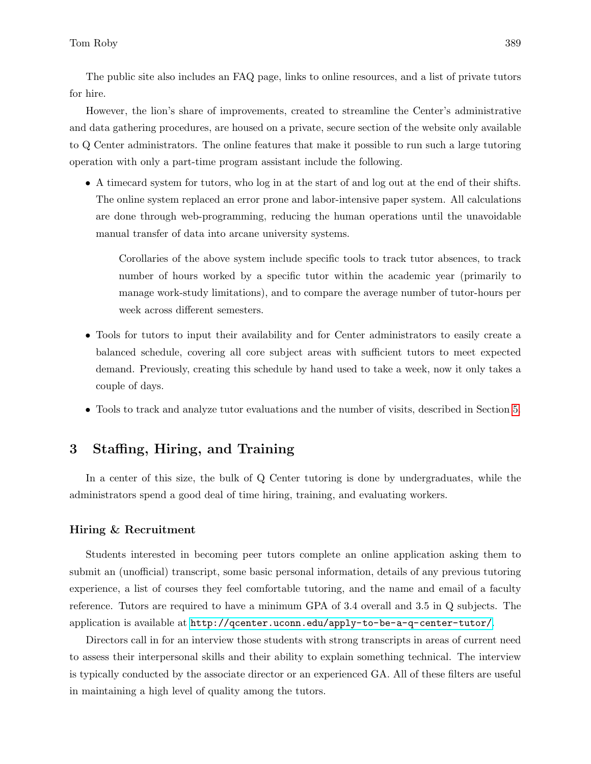The public site also includes an FAQ page, links to online resources, and a list of private tutors for hire.

However, the lion's share of improvements, created to streamline the Center's administrative and data gathering procedures, are housed on a private, secure section of the website only available to Q Center administrators. The online features that make it possible to run such a large tutoring operation with only a part-time program assistant include the following.

• A timecard system for tutors, who log in at the start of and log out at the end of their shifts. The online system replaced an error prone and labor-intensive paper system. All calculations are done through web-programming, reducing the human operations until the unavoidable manual transfer of data into arcane university systems.

Corollaries of the above system include specific tools to track tutor absences, to track number of hours worked by a specific tutor within the academic year (primarily to manage work-study limitations), and to compare the average number of tutor-hours per week across different semesters.

- Tools for tutors to input their availability and for Center administrators to easily create a balanced schedule, covering all core subject areas with sufficient tutors to meet expected demand. Previously, creating this schedule by hand used to take a week, now it only takes a couple of days.
- Tools to track and analyze tutor evaluations and the number of visits, described in Section 5.

# 3 Staffing, Hiring, and Training

In a center of this size, the bulk of Q Center tutoring is done by undergraduates, while the administrators spend a good deal of time hiring, training, and evaluating workers.

#### Hiring & Recruitment

Students interested in becoming peer tutors complete an online application asking them to submit an (unofficial) transcript, some basic personal information, details of any previous tutoring experience, a list of courses they feel comfortable tutoring, and the name and email of a faculty reference. Tutors are required to have a minimum GPA of 3.4 overall and 3.5 in Q subjects. The application is available at <http://qcenter.uconn.edu/apply-to-be-a-q-center-tutor/>.

Directors call in for an interview those students with strong transcripts in areas of current need to assess their interpersonal skills and their ability to explain something technical. The interview is typically conducted by the associate director or an experienced GA. All of these filters are useful in maintaining a high level of quality among the tutors.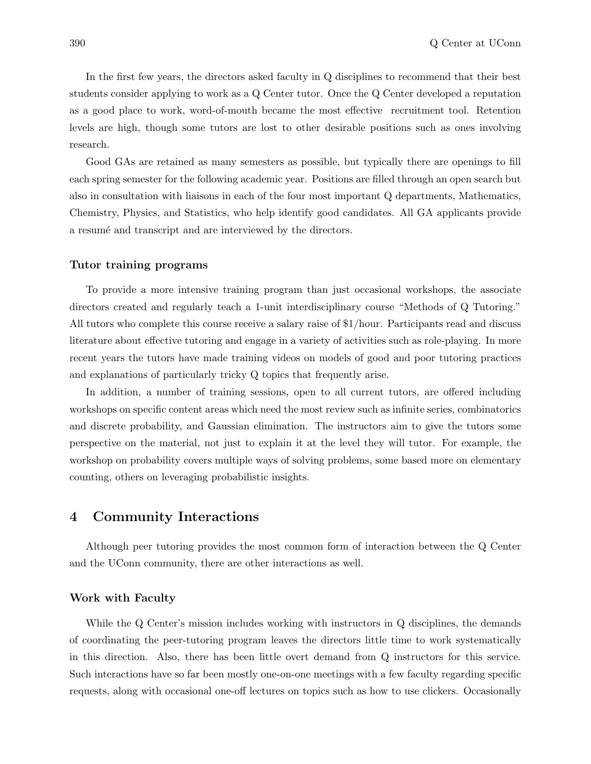In the first few years, the directors asked faculty in Q disciplines to recommend that their best students consider applying to work as a Q Center tutor. Once the Q Center developed a reputation as a good place to work, word-of-mouth became the most effective recruitment tool. Retention levels are high, though some tutors are lost to other desirable positions such as ones involving research.

Good GAs are retained as many semesters as possible, but typically there are openings to fill each spring semester for the following academic year. Positions are filled through an open search but also in consultation with liaisons in each of the four most important Q departments, Mathematics, Chemistry, Physics, and Statistics, who help identify good candidates. All GA applicants provide a resume and transcript and are interviewed by the directors.

#### Tutor training programs

To provide a more intensive training program than just occasional workshops, the associate directors created and regularly teach a 1-unit interdisciplinary course "Methods of Q Tutoring." All tutors who complete this course receive a salary raise of \$1/hour. Participants read and discuss literature about effective tutoring and engage in a variety of activities such as role-playing. In more recent years the tutors have made training videos on models of good and poor tutoring practices and explanations of particularly tricky Q topics that frequently arise.

In addition, a number of training sessions, open to all current tutors, are offered including workshops on specific content areas which need the most review such as infinite series, combinatorics and discrete probability, and Gaussian elimination. The instructors aim to give the tutors some perspective on the material, not just to explain it at the level they will tutor. For example, the workshop on probability covers multiple ways of solving problems, some based more on elementary counting, others on leveraging probabilistic insights.

## 4 Community Interactions

Although peer tutoring provides the most common form of interaction between the Q Center and the UConn community, there are other interactions as well.

#### Work with Faculty

While the Q Center's mission includes working with instructors in Q disciplines, the demands of coordinating the peer-tutoring program leaves the directors little time to work systematically in this direction. Also, there has been little overt demand from Q instructors for this service. Such interactions have so far been mostly one-on-one meetings with a few faculty regarding specific requests, along with occasional one-off lectures on topics such as how to use clickers. Occasionally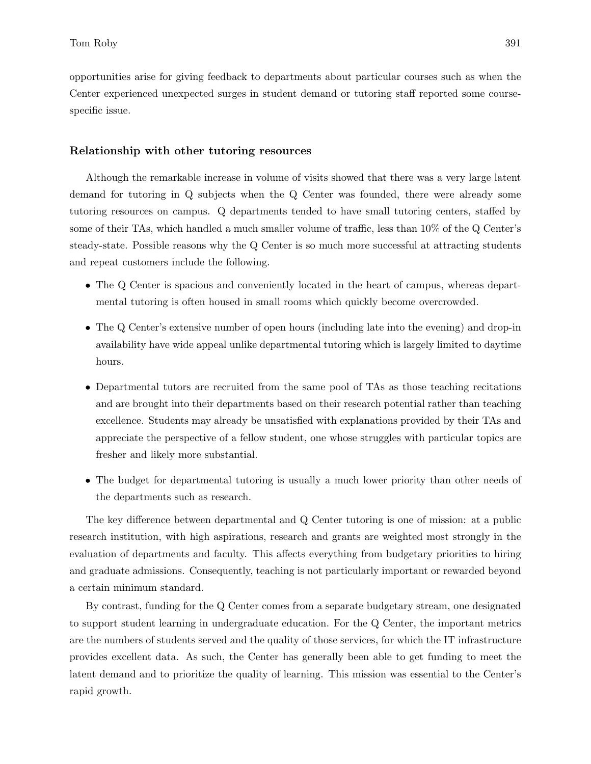opportunities arise for giving feedback to departments about particular courses such as when the Center experienced unexpected surges in student demand or tutoring staff reported some coursespecific issue.

#### Relationship with other tutoring resources

Although the remarkable increase in volume of visits showed that there was a very large latent demand for tutoring in Q subjects when the Q Center was founded, there were already some tutoring resources on campus. Q departments tended to have small tutoring centers, staffed by some of their TAs, which handled a much smaller volume of traffic, less than 10% of the Q Center's steady-state. Possible reasons why the Q Center is so much more successful at attracting students and repeat customers include the following.

- The Q Center is spacious and conveniently located in the heart of campus, whereas departmental tutoring is often housed in small rooms which quickly become overcrowded.
- The Q Center's extensive number of open hours (including late into the evening) and drop-in availability have wide appeal unlike departmental tutoring which is largely limited to daytime hours.
- Departmental tutors are recruited from the same pool of TAs as those teaching recitations and are brought into their departments based on their research potential rather than teaching excellence. Students may already be unsatisfied with explanations provided by their TAs and appreciate the perspective of a fellow student, one whose struggles with particular topics are fresher and likely more substantial.
- The budget for departmental tutoring is usually a much lower priority than other needs of the departments such as research.

The key difference between departmental and Q Center tutoring is one of mission: at a public research institution, with high aspirations, research and grants are weighted most strongly in the evaluation of departments and faculty. This affects everything from budgetary priorities to hiring and graduate admissions. Consequently, teaching is not particularly important or rewarded beyond a certain minimum standard.

By contrast, funding for the Q Center comes from a separate budgetary stream, one designated to support student learning in undergraduate education. For the Q Center, the important metrics are the numbers of students served and the quality of those services, for which the IT infrastructure provides excellent data. As such, the Center has generally been able to get funding to meet the latent demand and to prioritize the quality of learning. This mission was essential to the Center's rapid growth.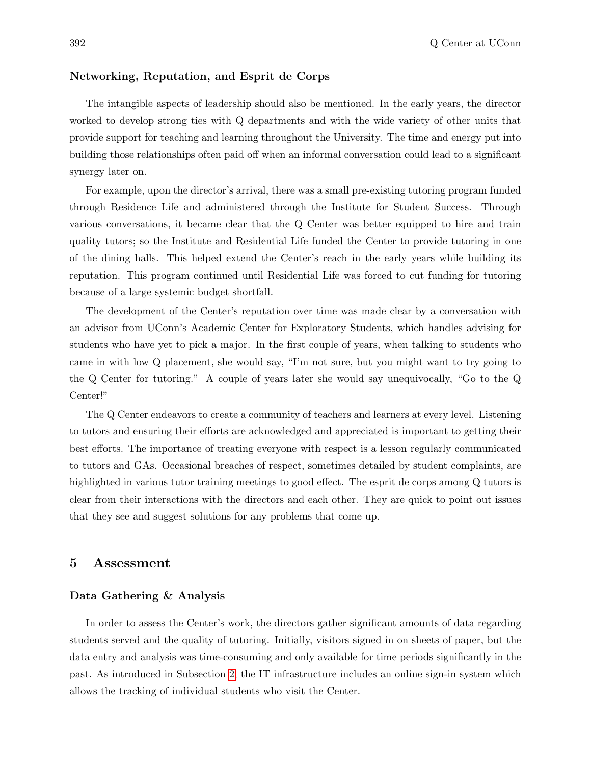#### Networking, Reputation, and Esprit de Corps

The intangible aspects of leadership should also be mentioned. In the early years, the director worked to develop strong ties with Q departments and with the wide variety of other units that provide support for teaching and learning throughout the University. The time and energy put into building those relationships often paid off when an informal conversation could lead to a significant synergy later on.

For example, upon the director's arrival, there was a small pre-existing tutoring program funded through Residence Life and administered through the Institute for Student Success. Through various conversations, it became clear that the Q Center was better equipped to hire and train quality tutors; so the Institute and Residential Life funded the Center to provide tutoring in one of the dining halls. This helped extend the Center's reach in the early years while building its reputation. This program continued until Residential Life was forced to cut funding for tutoring because of a large systemic budget shortfall.

The development of the Center's reputation over time was made clear by a conversation with an advisor from UConn's Academic Center for Exploratory Students, which handles advising for students who have yet to pick a major. In the first couple of years, when talking to students who came in with low Q placement, she would say, "I'm not sure, but you might want to try going to the Q Center for tutoring." A couple of years later she would say unequivocally, "Go to the Q Center!"

The Q Center endeavors to create a community of teachers and learners at every level. Listening to tutors and ensuring their efforts are acknowledged and appreciated is important to getting their best efforts. The importance of treating everyone with respect is a lesson regularly communicated to tutors and GAs. Occasional breaches of respect, sometimes detailed by student complaints, are highlighted in various tutor training meetings to good effect. The esprit de corps among Q tutors is clear from their interactions with the directors and each other. They are quick to point out issues that they see and suggest solutions for any problems that come up.

## 5 Assessment

#### Data Gathering & Analysis

In order to assess the Center's work, the directors gather significant amounts of data regarding students served and the quality of tutoring. Initially, visitors signed in on sheets of paper, but the data entry and analysis was time-consuming and only available for time periods significantly in the past. As introduced in Subsection 2, the IT infrastructure includes an online sign-in system which allows the tracking of individual students who visit the Center.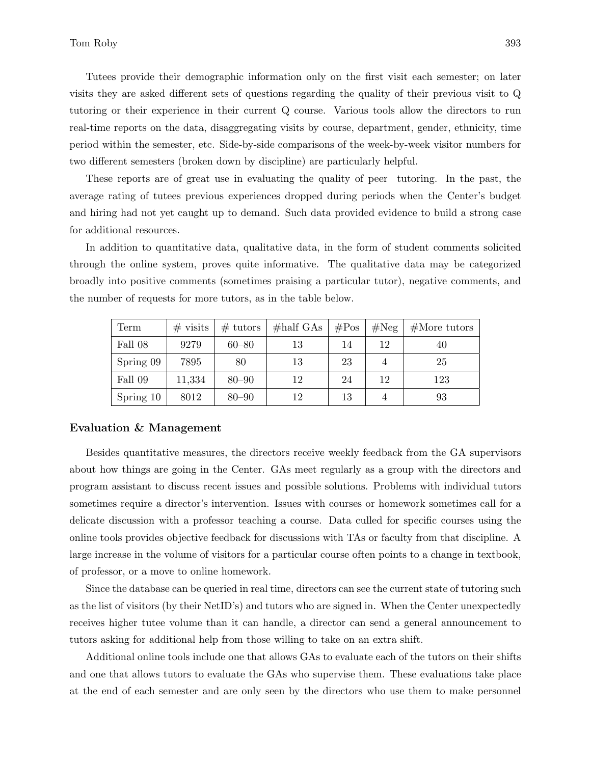Tutees provide their demographic information only on the first visit each semester; on later visits they are asked different sets of questions regarding the quality of their previous visit to Q tutoring or their experience in their current Q course. Various tools allow the directors to run real-time reports on the data, disaggregating visits by course, department, gender, ethnicity, time period within the semester, etc. Side-by-side comparisons of the week-by-week visitor numbers for two different semesters (broken down by discipline) are particularly helpful.

These reports are of great use in evaluating the quality of peer tutoring. In the past, the average rating of tutees previous experiences dropped during periods when the Center's budget and hiring had not yet caught up to demand. Such data provided evidence to build a strong case for additional resources.

In addition to quantitative data, qualitative data, in the form of student comments solicited through the online system, proves quite informative. The qualitative data may be categorized broadly into positive comments (sometimes praising a particular tutor), negative comments, and the number of requests for more tutors, as in the table below.

| Term      | $#$ visits | $# \text{ tutors}$ | $\#$ half GAs | $\#Pos$ | #Neg | $#$ More tutors |
|-----------|------------|--------------------|---------------|---------|------|-----------------|
| Fall 08   | 9279       | $60 - 80$          | 13            | 14      | 12   | 40              |
| Spring 09 | 7895       | 80                 | 13            | 23      | 4    | 25              |
| Fall 09   | 11,334     | $80 - 90$          | 12            | 24      | 12   | 123             |
| Spring 10 | 8012       | $80 - 90$          | 12            | 13      |      | 93              |

#### Evaluation & Management

Besides quantitative measures, the directors receive weekly feedback from the GA supervisors about how things are going in the Center. GAs meet regularly as a group with the directors and program assistant to discuss recent issues and possible solutions. Problems with individual tutors sometimes require a director's intervention. Issues with courses or homework sometimes call for a delicate discussion with a professor teaching a course. Data culled for specific courses using the online tools provides objective feedback for discussions with TAs or faculty from that discipline. A large increase in the volume of visitors for a particular course often points to a change in textbook, of professor, or a move to online homework.

Since the database can be queried in real time, directors can see the current state of tutoring such as the list of visitors (by their NetID's) and tutors who are signed in. When the Center unexpectedly receives higher tutee volume than it can handle, a director can send a general announcement to tutors asking for additional help from those willing to take on an extra shift.

Additional online tools include one that allows GAs to evaluate each of the tutors on their shifts and one that allows tutors to evaluate the GAs who supervise them. These evaluations take place at the end of each semester and are only seen by the directors who use them to make personnel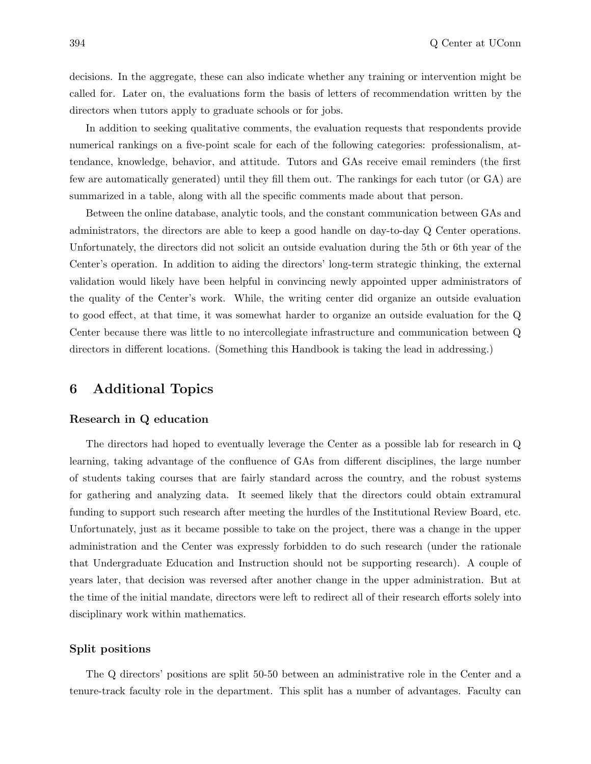decisions. In the aggregate, these can also indicate whether any training or intervention might be called for. Later on, the evaluations form the basis of letters of recommendation written by the directors when tutors apply to graduate schools or for jobs.

In addition to seeking qualitative comments, the evaluation requests that respondents provide numerical rankings on a five-point scale for each of the following categories: professionalism, attendance, knowledge, behavior, and attitude. Tutors and GAs receive email reminders (the first few are automatically generated) until they fill them out. The rankings for each tutor (or GA) are summarized in a table, along with all the specific comments made about that person.

Between the online database, analytic tools, and the constant communication between GAs and administrators, the directors are able to keep a good handle on day-to-day Q Center operations. Unfortunately, the directors did not solicit an outside evaluation during the 5th or 6th year of the Center's operation. In addition to aiding the directors' long-term strategic thinking, the external validation would likely have been helpful in convincing newly appointed upper administrators of the quality of the Center's work. While, the writing center did organize an outside evaluation to good effect, at that time, it was somewhat harder to organize an outside evaluation for the Q Center because there was little to no intercollegiate infrastructure and communication between Q directors in different locations. (Something this Handbook is taking the lead in addressing.)

# 6 Additional Topics

#### Research in Q education

The directors had hoped to eventually leverage the Center as a possible lab for research in Q learning, taking advantage of the confluence of GAs from different disciplines, the large number of students taking courses that are fairly standard across the country, and the robust systems for gathering and analyzing data. It seemed likely that the directors could obtain extramural funding to support such research after meeting the hurdles of the Institutional Review Board, etc. Unfortunately, just as it became possible to take on the project, there was a change in the upper administration and the Center was expressly forbidden to do such research (under the rationale that Undergraduate Education and Instruction should not be supporting research). A couple of years later, that decision was reversed after another change in the upper administration. But at the time of the initial mandate, directors were left to redirect all of their research efforts solely into disciplinary work within mathematics.

#### Split positions

The Q directors' positions are split 50-50 between an administrative role in the Center and a tenure-track faculty role in the department. This split has a number of advantages. Faculty can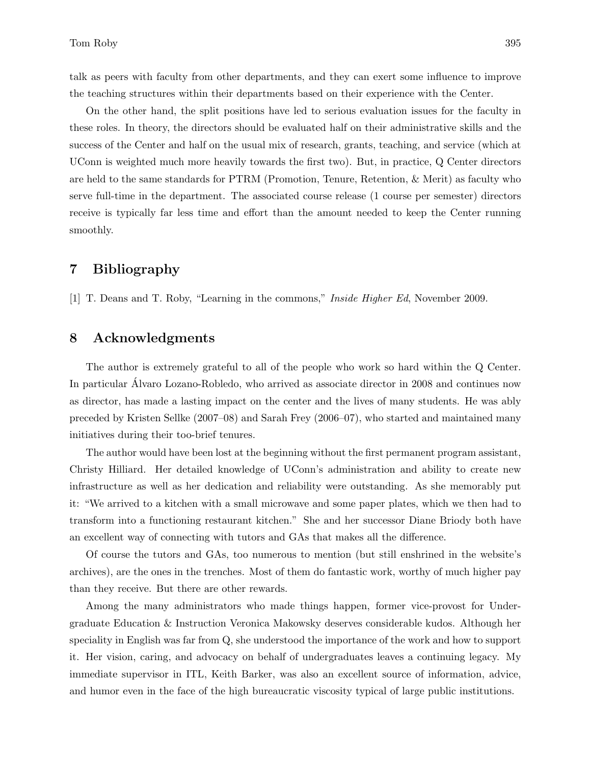talk as peers with faculty from other departments, and they can exert some influence to improve the teaching structures within their departments based on their experience with the Center.

On the other hand, the split positions have led to serious evaluation issues for the faculty in these roles. In theory, the directors should be evaluated half on their administrative skills and the success of the Center and half on the usual mix of research, grants, teaching, and service (which at UConn is weighted much more heavily towards the first two). But, in practice, Q Center directors are held to the same standards for PTRM (Promotion, Tenure, Retention, & Merit) as faculty who serve full-time in the department. The associated course release (1 course per semester) directors receive is typically far less time and effort than the amount needed to keep the Center running smoothly.

# 7 Bibliography

[1] T. Deans and T. Roby, "Learning in the commons," Inside Higher Ed, November 2009.

# 8 Acknowledgments

The author is extremely grateful to all of the people who work so hard within the Q Center. In particular Alvaro Lozano-Robledo, who arrived as associate director in 2008 and continues now as director, has made a lasting impact on the center and the lives of many students. He was ably preceded by Kristen Sellke (2007–08) and Sarah Frey (2006–07), who started and maintained many initiatives during their too-brief tenures.

The author would have been lost at the beginning without the first permanent program assistant, Christy Hilliard. Her detailed knowledge of UConn's administration and ability to create new infrastructure as well as her dedication and reliability were outstanding. As she memorably put it: "We arrived to a kitchen with a small microwave and some paper plates, which we then had to transform into a functioning restaurant kitchen." She and her successor Diane Briody both have an excellent way of connecting with tutors and GAs that makes all the difference.

Of course the tutors and GAs, too numerous to mention (but still enshrined in the website's archives), are the ones in the trenches. Most of them do fantastic work, worthy of much higher pay than they receive. But there are other rewards.

Among the many administrators who made things happen, former vice-provost for Undergraduate Education & Instruction Veronica Makowsky deserves considerable kudos. Although her speciality in English was far from Q, she understood the importance of the work and how to support it. Her vision, caring, and advocacy on behalf of undergraduates leaves a continuing legacy. My immediate supervisor in ITL, Keith Barker, was also an excellent source of information, advice, and humor even in the face of the high bureaucratic viscosity typical of large public institutions.